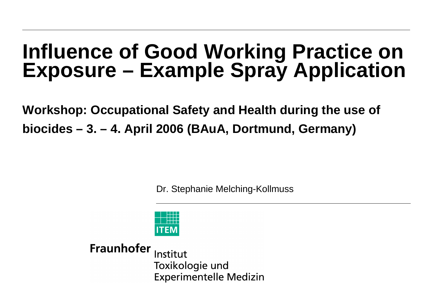# **Influence of Good Working Practice on Exposure – Example Spray Application**

**Workshop: Occupational Safety and Health during the use of biocides – 3. – 4. April 2006 (BAuA, Dortmund, Germany)**

Dr. Stephanie Melching-Kollmuss

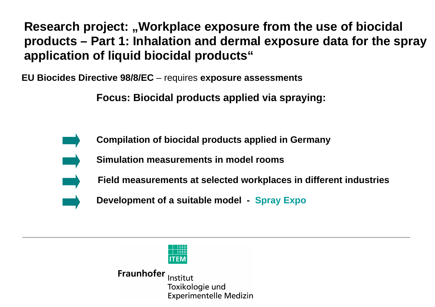**EU Biocides Directive 98/8/EC** – requires **exposure assessments**

**Focus: Biocidal products applied via spraying:**



 **Compilation of biocidal products applied in Germany**

 **Simulation measurements in model rooms**

 **Field measurements at selected workplaces in different industries**

 **Development of a suitable model - Spray Expo**

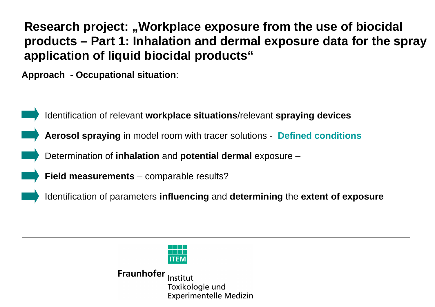**Approach - Occupational situation**:



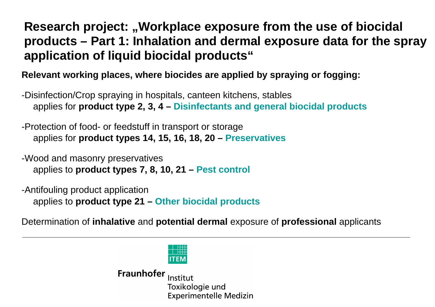**Relevant working places, where biocides are applied by spraying or fogging:**

-Disinfection/Crop spraying in hospitals, canteen kitchens, stables applies for **product type 2, 3, 4 – Disinfectants and general biocidal products**

-Protection of food- or feedstuff in transport or storage applies for **product types 14, 15, 16, 18, 20 – Preservatives**

-Wood and masonry preservatives applies to **product types 7, 8, 10, 21 – Pest control**

-Antifouling product application applies to **product type 21 – Other biocidal products**

Determination of **inhalative** and **potential dermal** exposure of **professional** applicants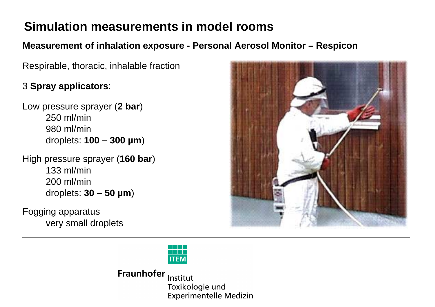**Measurement of inhalation exposure - Personal Aerosol Monitor – Respicon**

Respirable, thoracic, inhalable fraction

#### 3 **Spray applicators**:

Low pressure sprayer (**2 bar**) 250 ml/min 980 ml/mindroplets: **100 – 300 µm**)

High pressure sprayer (**160 bar**) 133 ml/min200 ml/mindroplets: **30 – 50 µm**)

Fogging apparatus very small droplets



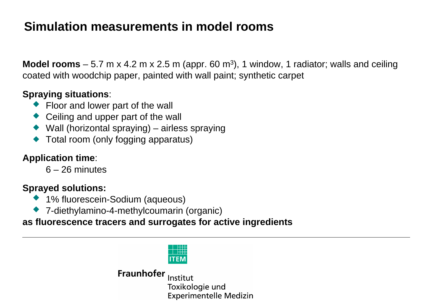**Model rooms** – 5.7 m x 4.2 m x 2.5 m (appr. 60 m<sup>3</sup>), 1 window, 1 radiator; walls and ceiling coated with woodchip paper, painted with wall paint; synthetic carpet

#### **Spraying situations**:

- ◆ Floor and lower part of the wall
- Ceiling and upper part of the wall
- $\blacklozenge$  Wall (horizontal spraying) airless spraying
- ◆ Total room (only fogging apparatus)

#### **Application time**:

6 – 26 minutes

#### **Sprayed solutions:**

- ◆ 1% fluorescein-Sodium (aqueous)
- 7-diethylamino-4-methylcoumarin (organic)

#### **as fluorescence tracers and surrogates for active ingredients**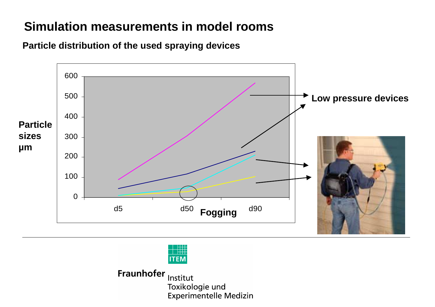



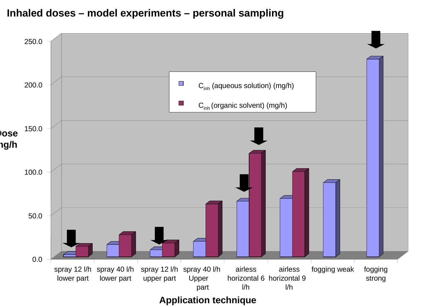#### **Inhaled doses – model experiments – personal sampling**



**Application technique**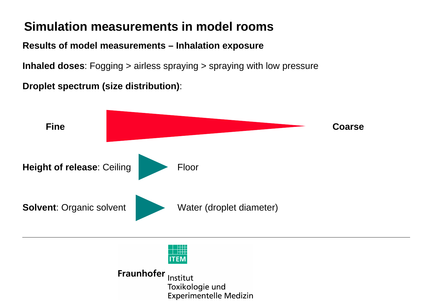**Results of model measurements – Inhalation exposure**

**Inhaled doses**: Fogging > airless spraying > spraying with low pressure

**Droplet spectrum (size distribution)**:

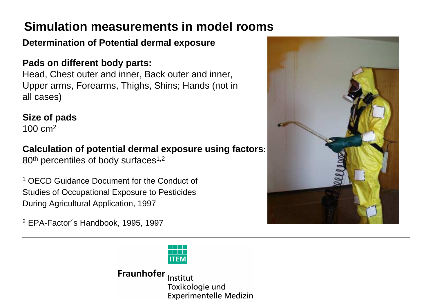#### **Determination of Potential dermal exposure**

#### **Pads on different body parts:**

Head, Chest outer and inner, Back outer and inner, Upper arms, Forearms, Thighs, Shins; Hands (not in all cases)

#### **Size of pads**

100 cm2

#### **Calculation of potential dermal exposure using factors:**

80<sup>th</sup> percentiles of body surfaces<sup>1,2</sup>

1 OECD Guidance Document for the Conduct of Studies of Occupational Exposure to Pesticides During Agricultural Application, 1997

2 EPA-Factor´s Handbook, 1995, 1997

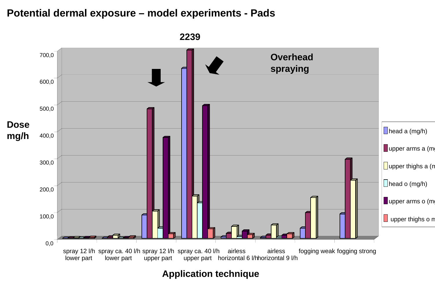#### **Potential dermal exposure – model experiments - Pads**



**Application technique**

**2239**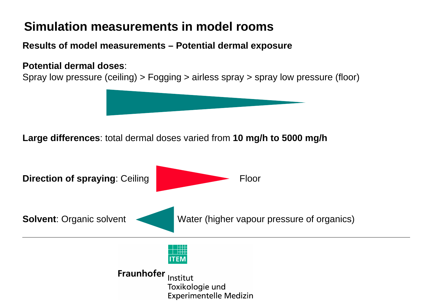**Results of model measurements – Potential dermal exposure**

#### **Potential dermal doses**:

Spray low pressure (ceiling) > Fogging > airless spray > spray low pressure (floor)



**Large differences**: total dermal doses varied from **10 mg/h to 5000 mg/h**

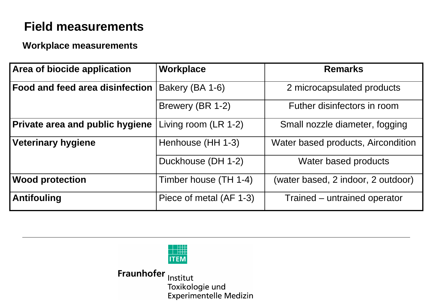## **Field measurements**

#### **Workplace measurements**

| Area of biocide application            | Workplace               | <b>Remarks</b>                     |
|----------------------------------------|-------------------------|------------------------------------|
| Food and feed area disinfection        | Bakery (BA 1-6)         | 2 microcapsulated products         |
|                                        | Brewery (BR 1-2)        | Futher disinfectors in room        |
| <b>Private area and public hygiene</b> | Living room (LR 1-2)    | Small nozzle diameter, fogging     |
| <b>Veterinary hygiene</b>              | Henhouse (HH 1-3)       | Water based products, Aircondition |
|                                        | Duckhouse (DH 1-2)      | Water based products               |
| <b>Wood protection</b>                 | Timber house (TH 1-4)   | (water based, 2 indoor, 2 outdoor) |
| <b>Antifouling</b>                     | Piece of metal (AF 1-3) | Trained – untrained operator       |

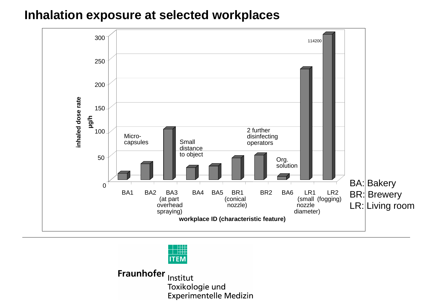## **Inhalation exposure at selected workplaces**



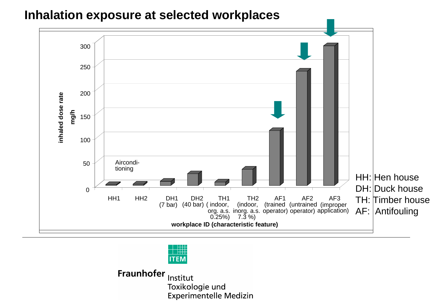### **Inhalation exposure at selected workplaces**



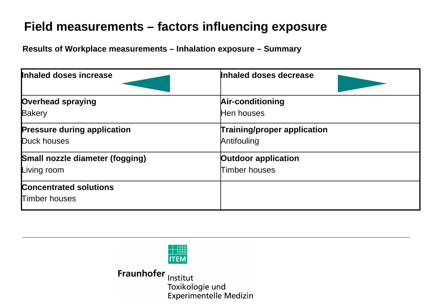# **Field measurements – factors influencing exposure**

**Results of Workplace measurements – Inhalation exposure – Summary**

| Inhaled doses increase                 | Inhaled doses decrease             |  |
|----------------------------------------|------------------------------------|--|
| <b>Overhead spraying</b>               | Air-conditioning                   |  |
| <b>Bakery</b>                          | Hen houses                         |  |
| <b>Pressure during application</b>     | <b>Training/proper application</b> |  |
| Duck houses                            | Antifouling                        |  |
| <b>Small nozzle diameter (fogging)</b> | <b>Outdoor application</b>         |  |
| Living room                            | Timber houses                      |  |
| <b>Concentrated solutions</b>          |                                    |  |
| <b>Timber houses</b>                   |                                    |  |

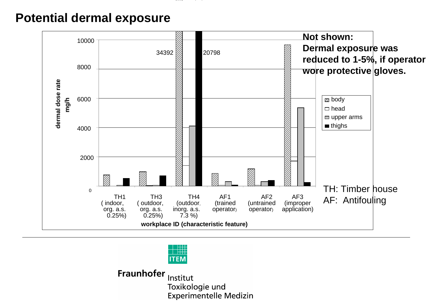## **Potential dermal exposure**



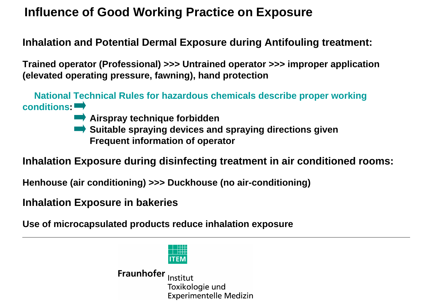## **Influence of Good Working Practice on Exposure**

#### **Inhalation and Potential Dermal Exposure during Antifouling treatment:**

**Trained operator (Professional) >>> Untrained operator >>> improper application (elevated operating pressure, fawning), hand protection**

**National Technical Rules for hazardous chemicals describe proper working conditions:**

- **Airspray technique forbidden**
- **EXTERNITY Suitable spraying devices and spraying directions given Frequent information of operator**

**Inhalation Exposure during disinfecting treatment in air conditioned rooms:**

**Henhouse (air conditioning) >>> Duckhouse (no air-conditioning)**

**Inhalation Exposure in bakeries**

**Use of microcapsulated products reduce inhalation exposure**

**ITEM**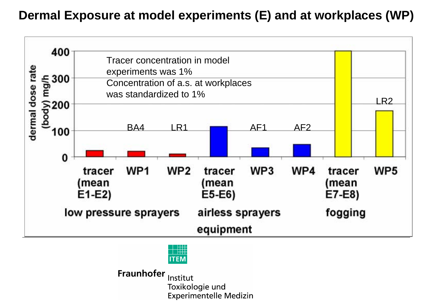## **Dermal Exposure at model experiments (E) and at workplaces (WP)**



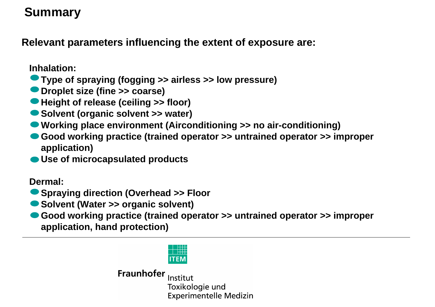# **Summary**

**Relevant parameters influencing the extent of exposure are:**

**Inhalation:**

- **Type of spraying (fogging >> airless >> low pressure)**
- **Droplet size (fine >> coarse)**
- **Height of release (ceiling >> floor)**
- **Solvent (organic solvent >> water)**
- **Working place environment (Airconditioning >> no air-conditioning)**
- **Good working practice (trained operator >> untrained operator >> improper application)**
- **Use of microcapsulated products**

**Dermal:**

**Spraying direction (Overhead >> Floor**

- **Solvent (Water >> organic solvent)**
- **Good working practice (trained operator >> untrained operator >> improper application, hand protection)**

**ITEM**